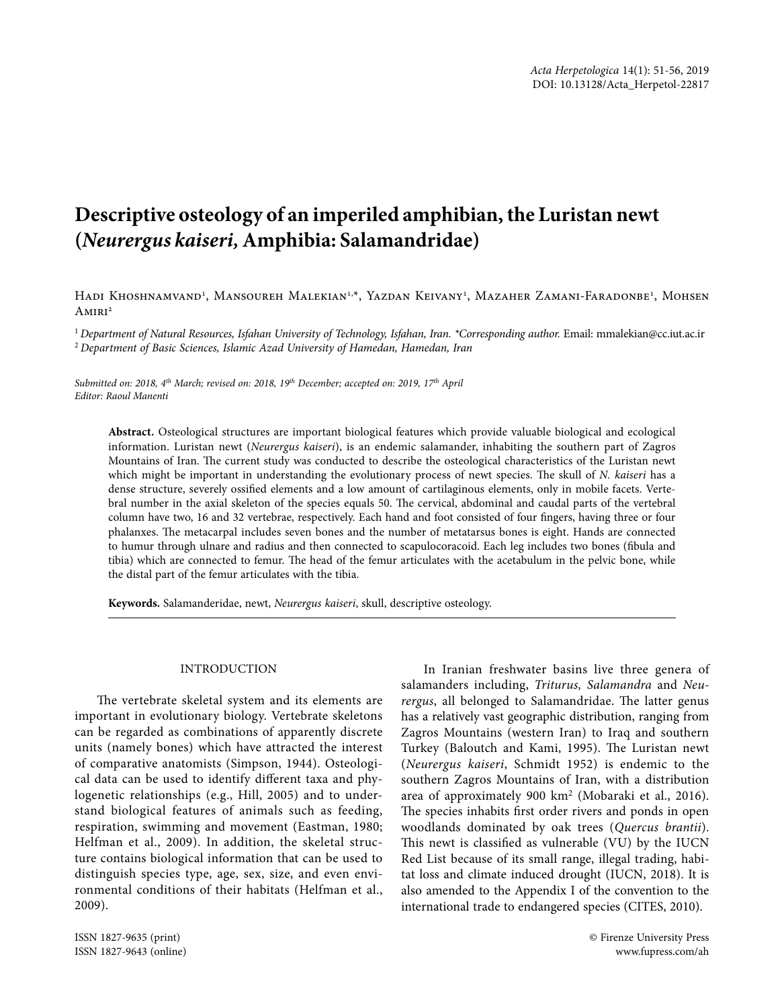# **Descriptive osteology of an imperiled amphibian, the Luristan newt (***Neurergus kaiseri,* **Amphibia: Salamandridae)**

Hadi Khoshnamvand<sup>i</sup>, Mansoureh Malekian<sup>1,x</sup>, Yazdan Keivany<sup>1</sup>, Mazaher Zamani-Faradonbe<sup>1</sup>, Mohsen  $AMIRI<sup>2</sup>$ 

<sup>1</sup> Department of Natural Resources, Isfahan University of Technology, Isfahan, Iran. \*Corresponding author. Email: mmalekian@cc.iut.ac.ir <sup>2</sup> *Department of Basic Sciences, Islamic Azad University of Hamedan, Hamedan, Iran*

*Submitted on: 2018, 4th March; revised on: 2018, 19th December; accepted on: 2019, 17th April Editor: Raoul Manenti*

**Abstract.** Osteological structures are important biological features which provide valuable biological and ecological information. Luristan newt (*Neurergus kaiseri*), is an endemic salamander, inhabiting the southern part of Zagros Mountains of Iran. The current study was conducted to describe the osteological characteristics of the Luristan newt which might be important in understanding the evolutionary process of newt species. The skull of *N. kaiseri* has a dense structure, severely ossifed elements and a low amount of cartilaginous elements, only in mobile facets. Vertebral number in the axial skeleton of the species equals 50. The cervical, abdominal and caudal parts of the vertebral column have two, 16 and 32 vertebrae, respectively. Each hand and foot consisted of four fngers, having three or four phalanxes. The metacarpal includes seven bones and the number of metatarsus bones is eight. Hands are connected to humur through ulnare and radius and then connected to scapulocoracoid. Each leg includes two bones (fbula and tibia) which are connected to femur. The head of the femur articulates with the acetabulum in the pelvic bone, while the distal part of the femur articulates with the tibia.

**Keywords.** Salamanderidae, newt, *Neurergus kaiseri*, skull, descriptive osteology.

#### INTRODUCTION

The vertebrate skeletal system and its elements are important in evolutionary biology. Vertebrate skeletons can be regarded as combinations of apparently discrete units (namely bones) which have attracted the interest of comparative anatomists (Simpson, 1944). Osteological data can be used to identify diferent taxa and phylogenetic relationships (e.g., Hill, 2005) and to understand biological features of animals such as feeding, respiration, swimming and movement (Eastman, 1980; Helfman et al., 2009). In addition, the skeletal structure contains biological information that can be used to distinguish species type, age, sex, size, and even environmental conditions of their habitats (Helfman et al., 2009).

ISSN 1827-9635 (print) © Firenze University Press ISSN 1827-9643 (online) www.fupress.com/ah

In Iranian freshwater basins live three genera of salamanders including, *Triturus, Salamandra* and *Neu*rergus, all belonged to Salamandridae. The latter genus has a relatively vast geographic distribution, ranging from Zagros Mountains (western Iran) to Iraq and southern Turkey (Baloutch and Kami, 1995). The Luristan newt (*Neurergus kaiseri*, Schmidt 1952) is endemic to the southern Zagros Mountains of Iran, with a distribution area of approximately 900 km2 (Mobaraki et al., 2016). The species inhabits first order rivers and ponds in open woodlands dominated by oak trees (*Quercus brantii*). This newt is classified as vulnerable (VU) by the IUCN Red List because of its small range, illegal trading, habitat loss and climate induced drought (IUCN, 2018). It is also amended to the Appendix I of the convention to the international trade to endangered species (CITES, 2010).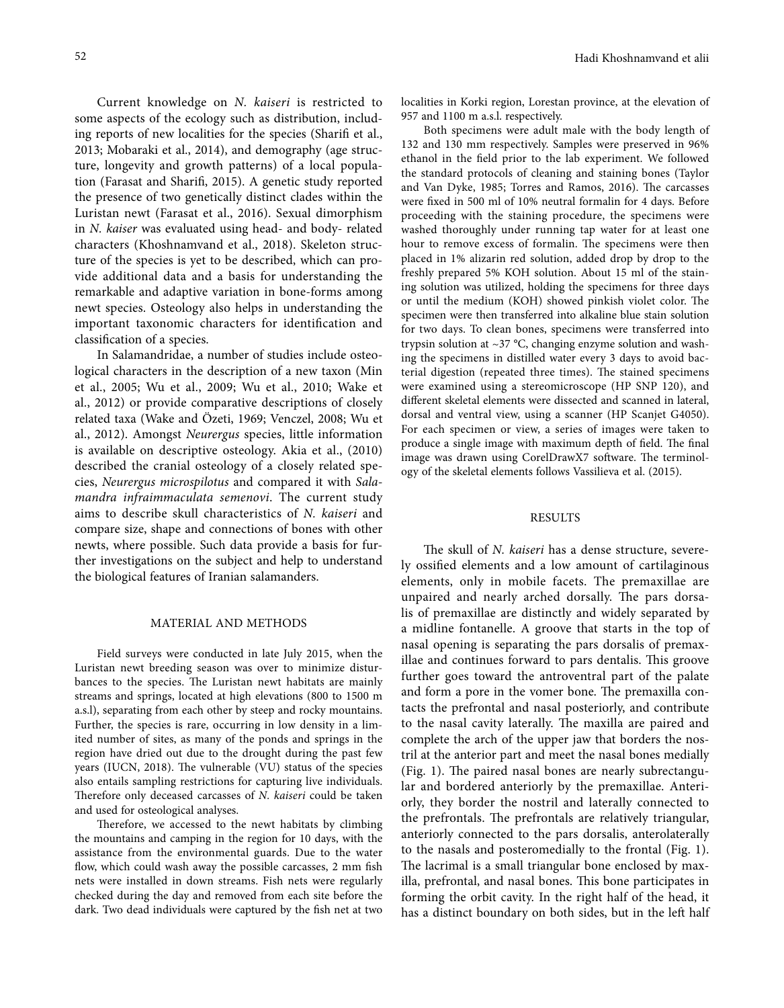Current knowledge on *N. kaiseri* is restricted to some aspects of the ecology such as distribution, including reports of new localities for the species (Sharif et al., 2013; Mobaraki et al., 2014), and demography (age structure, longevity and growth patterns) of a local population (Farasat and Sharif, 2015). A genetic study reported the presence of two genetically distinct clades within the Luristan newt (Farasat et al., 2016). Sexual dimorphism in *N. kaiser* was evaluated using head- and body- related characters (Khoshnamvand et al., 2018). Skeleton structure of the species is yet to be described, which can provide additional data and a basis for understanding the remarkable and adaptive variation in bone-forms among newt species. Osteology also helps in understanding the important taxonomic characters for identifcation and classifcation of a species.

In Salamandridae, a number of studies include osteological characters in the description of a new taxon (Min et al., 2005; Wu et al., 2009; Wu et al., 2010; Wake et al., 2012) or provide comparative descriptions of closely related taxa (Wake and Özeti, 1969; Venczel, 2008; Wu et al., 2012). Amongst *Neurergus* species, little information is available on descriptive osteology. Akia et al., (2010) described the cranial osteology of a closely related species, *Neurergus microspilotus* and compared it with *Salamandra infraimmaculata semenovi*. The current study aims to describe skull characteristics of *N. kaiseri* and compare size, shape and connections of bones with other newts, where possible. Such data provide a basis for further investigations on the subject and help to understand the biological features of Iranian salamanders.

#### MATERIAL AND METHODS

Field surveys were conducted in late July 2015, when the Luristan newt breeding season was over to minimize disturbances to the species. The Luristan newt habitats are mainly streams and springs, located at high elevations (800 to 1500 m a.s.l), separating from each other by steep and rocky mountains. Further, the species is rare, occurring in low density in a limited number of sites, as many of the ponds and springs in the region have dried out due to the drought during the past few years (IUCN, 2018). The vulnerable (VU) status of the species also entails sampling restrictions for capturing live individuals. Therefore only deceased carcasses of *N. kaiseri* could be taken and used for osteological analyses.

Therefore, we accessed to the newt habitats by climbing the mountains and camping in the region for 10 days, with the assistance from the environmental guards. Due to the water flow, which could wash away the possible carcasses, 2 mm fish nets were installed in down streams. Fish nets were regularly checked during the day and removed from each site before the dark. Two dead individuals were captured by the fsh net at two localities in Korki region, Lorestan province, at the elevation of 957 and 1100 m a.s.l. respectively.

Both specimens were adult male with the body length of 132 and 130 mm respectively. Samples were preserved in 96% ethanol in the feld prior to the lab experiment. We followed the standard protocols of cleaning and staining bones (Taylor and Van Dyke, 1985; Torres and Ramos, 2016). The carcasses were fxed in 500 ml of 10% neutral formalin for 4 days. Before proceeding with the staining procedure, the specimens were washed thoroughly under running tap water for at least one hour to remove excess of formalin. The specimens were then placed in 1% alizarin red solution, added drop by drop to the freshly prepared 5% KOH solution. About 15 ml of the staining solution was utilized, holding the specimens for three days or until the medium (KOH) showed pinkish violet color. The specimen were then transferred into alkaline blue stain solution for two days. To clean bones, specimens were transferred into trypsin solution at ~37 °C, changing enzyme solution and washing the specimens in distilled water every 3 days to avoid bacterial digestion (repeated three times). The stained specimens were examined using a stereomicroscope (HP SNP 120), and diferent skeletal elements were dissected and scanned in lateral, dorsal and ventral view, using a scanner (HP Scanjet G4050). For each specimen or view, a series of images were taken to produce a single image with maximum depth of field. The final image was drawn using CorelDrawX7 software. The terminology of the skeletal elements follows Vassilieva et al. (2015).

### RESULTS

The skull of *N. kaiseri* has a dense structure, severely ossifed elements and a low amount of cartilaginous elements, only in mobile facets. The premaxillae are unpaired and nearly arched dorsally. The pars dorsalis of premaxillae are distinctly and widely separated by a midline fontanelle. A groove that starts in the top of nasal opening is separating the pars dorsalis of premaxillae and continues forward to pars dentalis. This groove further goes toward the antroventral part of the palate and form a pore in the vomer bone. The premaxilla contacts the prefrontal and nasal posteriorly, and contribute to the nasal cavity laterally. The maxilla are paired and complete the arch of the upper jaw that borders the nostril at the anterior part and meet the nasal bones medially (Fig. 1). The paired nasal bones are nearly subrectangular and bordered anteriorly by the premaxillae. Anteriorly, they border the nostril and laterally connected to the prefrontals. The prefrontals are relatively triangular, anteriorly connected to the pars dorsalis, anterolaterally to the nasals and posteromedially to the frontal (Fig. 1). The lacrimal is a small triangular bone enclosed by maxilla, prefrontal, and nasal bones. This bone participates in forming the orbit cavity. In the right half of the head, it has a distinct boundary on both sides, but in the left half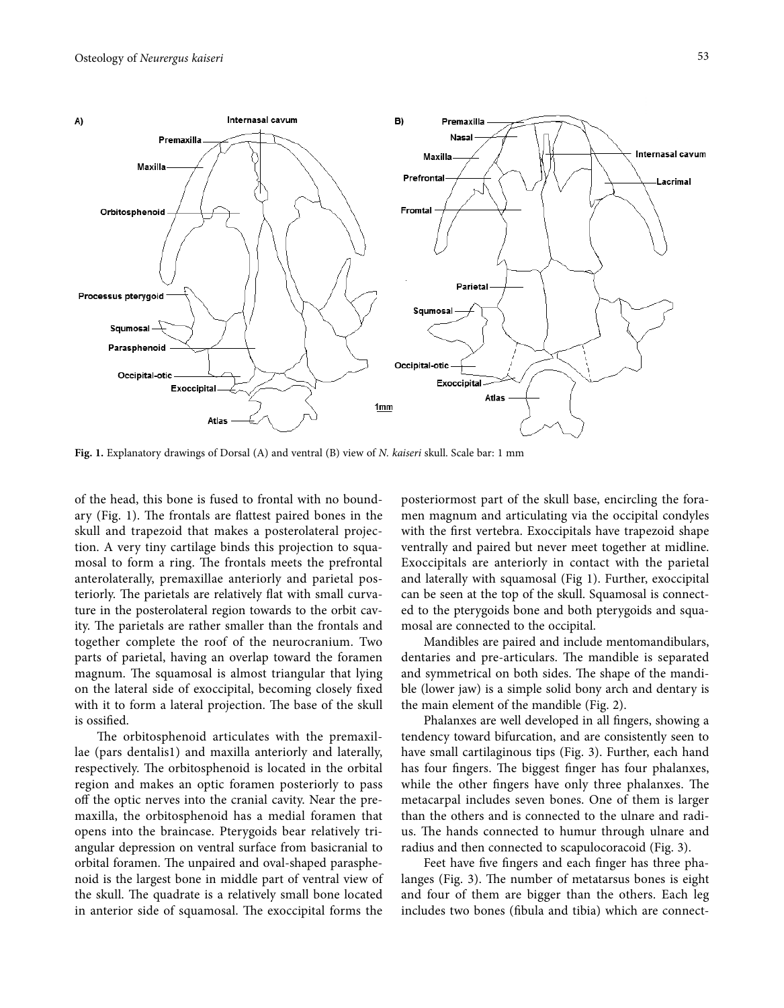

**Fig. 1.** Explanatory drawings of Dorsal (A) and ventral (B) view of *N. kaiseri* skull. Scale bar: 1 mm

of the head, this bone is fused to frontal with no boundary (Fig. 1). The frontals are flattest paired bones in the skull and trapezoid that makes a posterolateral projection. A very tiny cartilage binds this projection to squamosal to form a ring. The frontals meets the prefrontal anterolaterally, premaxillae anteriorly and parietal posteriorly. The parietals are relatively flat with small curvature in the posterolateral region towards to the orbit cavity. The parietals are rather smaller than the frontals and together complete the roof of the neurocranium. Two parts of parietal, having an overlap toward the foramen magnum. The squamosal is almost triangular that lying on the lateral side of exoccipital, becoming closely fxed with it to form a lateral projection. The base of the skull is ossifed.

The orbitosphenoid articulates with the premaxillae (pars dentalis1) and maxilla anteriorly and laterally, respectively. The orbitosphenoid is located in the orbital region and makes an optic foramen posteriorly to pass off the optic nerves into the cranial cavity. Near the premaxilla, the orbitosphenoid has a medial foramen that opens into the braincase. Pterygoids bear relatively triangular depression on ventral surface from basicranial to orbital foramen. The unpaired and oval-shaped parasphenoid is the largest bone in middle part of ventral view of the skull. The quadrate is a relatively small bone located in anterior side of squamosal. The exoccipital forms the

posteriormost part of the skull base, encircling the foramen magnum and articulating via the occipital condyles with the frst vertebra. Exoccipitals have trapezoid shape ventrally and paired but never meet together at midline. Exoccipitals are anteriorly in contact with the parietal and laterally with squamosal (Fig 1). Further, exoccipital can be seen at the top of the skull. Squamosal is connected to the pterygoids bone and both pterygoids and squamosal are connected to the occipital.

Mandibles are paired and include mentomandibulars, dentaries and pre-articulars. The mandible is separated and symmetrical on both sides. The shape of the mandible (lower jaw) is a simple solid bony arch and dentary is the main element of the mandible (Fig. 2).

Phalanxes are well developed in all fngers, showing a tendency toward bifurcation, and are consistently seen to have small cartilaginous tips (Fig. 3). Further, each hand has four fingers. The biggest finger has four phalanxes, while the other fingers have only three phalanxes. The metacarpal includes seven bones. One of them is larger than the others and is connected to the ulnare and radius. The hands connected to humur through ulnare and radius and then connected to scapulocoracoid (Fig. 3).

Feet have five fingers and each finger has three phalanges (Fig. 3). The number of metatarsus bones is eight and four of them are bigger than the others. Each leg includes two bones (fbula and tibia) which are connect-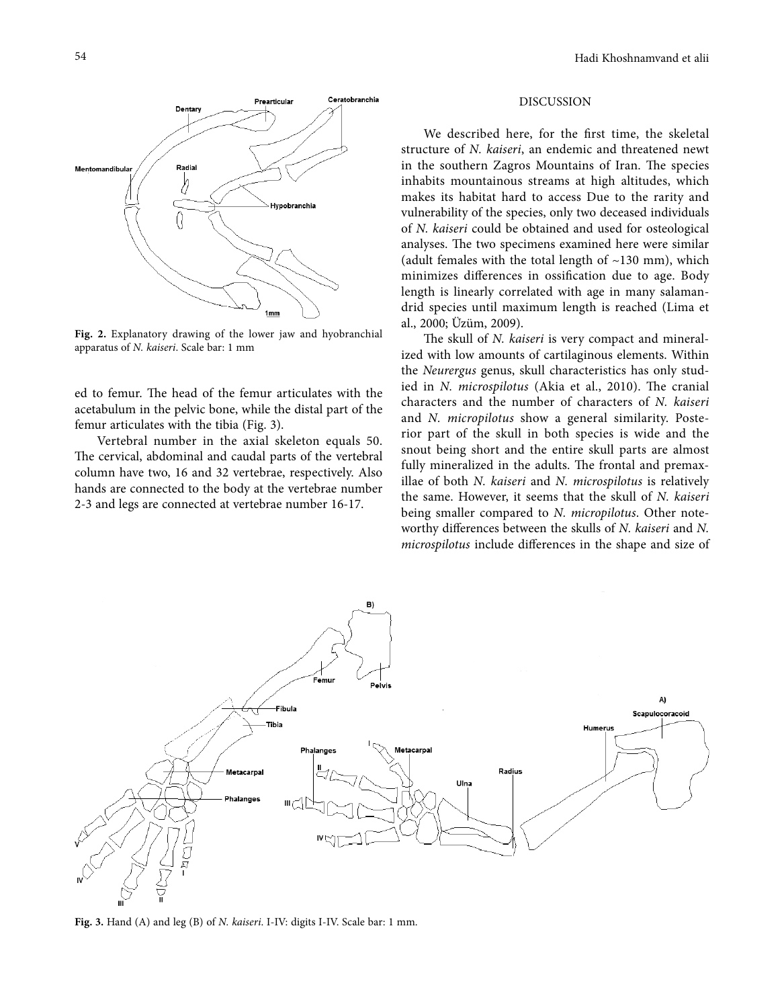

Fig. 2. Explanatory drawing of the lower jaw and hyobranchial apparatus of *N. kaiseri*. Scale bar: 1 mm

ed to femur. The head of the femur articulates with the acetabulum in the pelvic bone, while the distal part of the femur articulates with the tibia (Fig. 3).

Vertebral number in the axial skeleton equals 50. The cervical, abdominal and caudal parts of the vertebral column have two, 16 and 32 vertebrae, respectively. Also hands are connected to the body at the vertebrae number 2-3 and legs are connected at vertebrae number 16-17.

## DISCUSSION

We described here, for the frst time, the skeletal structure of *N. kaiseri*, an endemic and threatened newt in the southern Zagros Mountains of Iran. The species inhabits mountainous streams at high altitudes, which makes its habitat hard to access Due to the rarity and vulnerability of the species, only two deceased individuals of *N. kaiseri* could be obtained and used for osteological analyses. The two specimens examined here were similar (adult females with the total length of  $~130$  mm), which minimizes diferences in ossifcation due to age. Body length is linearly correlated with age in many salamandrid species until maximum length is reached (Lima et al., 2000; Üzüm, 2009).

The skull of *N. kaiseri* is very compact and mineralized with low amounts of cartilaginous elements. Within the *Neurergus* genus, skull characteristics has only studied in *N. microspilotus* (Akia et al., 2010). The cranial characters and the number of characters of *N. kaiseri* and *N. micropilotus* show a general similarity. Posterior part of the skull in both species is wide and the snout being short and the entire skull parts are almost fully mineralized in the adults. The frontal and premaxillae of both *N. kaiseri* and *N. microspilotus* is relatively the same. However, it seems that the skull of *N. kaiseri*  being smaller compared to *N. micropilotus*. Other noteworthy diferences between the skulls of *N. kaiseri* and *N. microspilotus* include diferences in the shape and size of



**Fig. 3.** Hand (A) and leg (B) of *N. kaiseri*. I-IV: digits I-IV. Scale bar: 1 mm.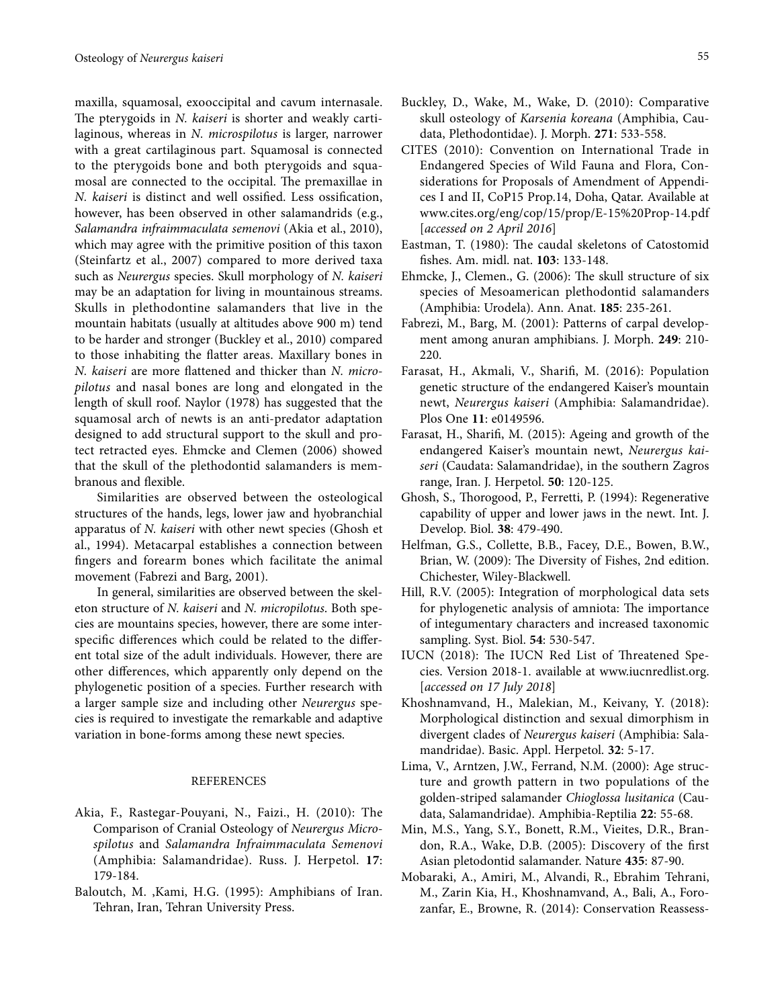maxilla, squamosal, exooccipital and cavum internasale. The pterygoids in *N. kaiseri* is shorter and weakly cartilaginous, whereas in *N. microspilotus* is larger, narrower with a great cartilaginous part. Squamosal is connected to the pterygoids bone and both pterygoids and squamosal are connected to the occipital. The premaxillae in *N. kaiseri* is distinct and well ossifed. Less ossifcation, however, has been observed in other salamandrids (e.g., *Salamandra infraimmaculata semenovi* (Akia et al., 2010), which may agree with the primitive position of this taxon (Steinfartz et al., 2007) compared to more derived taxa such as *Neurergus* species. Skull morphology of *N. kaiseri* may be an adaptation for living in mountainous streams. Skulls in plethodontine salamanders that live in the mountain habitats (usually at altitudes above 900 m) tend to be harder and stronger (Buckley et al., 2010) compared to those inhabiting the fatter areas. Maxillary bones in *N. kaiseri* are more fattened and thicker than *N. micropilotus* and nasal bones are long and elongated in the length of skull roof. Naylor (1978) has suggested that the squamosal arch of newts is an anti-predator adaptation designed to add structural support to the skull and protect retracted eyes. Ehmcke and Clemen (2006) showed that the skull of the plethodontid salamanders is membranous and fexible.

Similarities are observed between the osteological structures of the hands, legs, lower jaw and hyobranchial apparatus of *N. kaiseri* with other newt species (Ghosh et al., 1994). Metacarpal establishes a connection between fngers and forearm bones which facilitate the animal movement (Fabrezi and Barg, 2001).

In general, similarities are observed between the skeleton structure of *N. kaiseri* and *N. micropilotus*. Both species are mountains species, however, there are some interspecifc diferences which could be related to the diferent total size of the adult individuals. However, there are other diferences, which apparently only depend on the phylogenetic position of a species. Further research with a larger sample size and including other *Neurergus* species is required to investigate the remarkable and adaptive variation in bone-forms among these newt species.

#### REFERENCES

- Akia, F., Rastegar-Pouyani, N., Faizi., H. (2010): The Comparison of Cranial Osteology of *Neurergus Microspilotus* and *Salamandra Infraimmaculata Semenovi* (Amphibia: Salamandridae). Russ. J. Herpetol. **17**: 179-184.
- Baloutch, M. ,Kami, H.G. (1995): Amphibians of Iran. Tehran, Iran, Tehran University Press.
- Buckley, D., Wake, M., Wake, D. (2010): Comparative skull osteology of *Karsenia koreana* (Amphibia, Caudata, Plethodontidae). J. Morph. **271**: 533-558.
- CITES (2010): Convention on International Trade in Endangered Species of Wild Fauna and Flora, Considerations for Proposals of Amendment of Appendices I and II, CoP15 Prop.14, Doha, Qatar. Available at www.cites.org/eng/cop/15/prop/E-15%20Prop-14.pdf [*accessed on 2 April 2016*]
- Eastman, T. (1980): The caudal skeletons of Catostomid fshes. Am. midl. nat. **103**: 133-148.
- Ehmcke, J., Clemen., G. (2006): The skull structure of six species of Mesoamerican plethodontid salamanders (Amphibia: Urodela). Ann. Anat. **185**: 235-261.
- Fabrezi, M., Barg, M. (2001): Patterns of carpal development among anuran amphibians. J. Morph. **249**: 210- 220.
- Farasat, H., Akmali, V., Sharif, M. (2016): Population genetic structure of the endangered Kaiser's mountain newt, *Neurergus kaiseri* (Amphibia: Salamandridae). Plos One **11**: e0149596.
- Farasat, H., Sharif, M. (2015): Ageing and growth of the endangered Kaiser's mountain newt, *Neurergus kaiseri* (Caudata: Salamandridae), in the southern Zagros range, Iran. J. Herpetol. **50**: 120-125.
- Ghosh, S., Thorogood, P., Ferretti, P. (1994): Regenerative capability of upper and lower jaws in the newt. Int. J. Develop. Biol. **38**: 479-490.
- Helfman, G.S., Collette, B.B., Facey, D.E., Bowen, B.W., Brian, W. (2009): The Diversity of Fishes, 2nd edition. Chichester, Wiley-Blackwell.
- Hill, R.V. (2005): Integration of morphological data sets for phylogenetic analysis of amniota: The importance of integumentary characters and increased taxonomic sampling. Syst. Biol. **54**: 530-547.
- IUCN (2018): The IUCN Red List of Threatened Species. Version 2018-1. available at www.iucnredlist.org. [*accessed on 17 July 2018*]
- Khoshnamvand, H., Malekian, M., Keivany, Y. (2018): Morphological distinction and sexual dimorphism in divergent clades of *Neurergus kaiseri* (Amphibia: Salamandridae). Basic. Appl. Herpetol. **32**: 5-17.
- Lima, V., Arntzen, J.W., Ferrand, N.M. (2000): Age structure and growth pattern in two populations of the golden-striped salamander *Chioglossa lusitanica* (Caudata, Salamandridae). Amphibia-Reptilia **22**: 55-68.
- Min, M.S., Yang, S.Y., Bonett, R.M., Vieites, D.R., Brandon, R.A., Wake, D.B. (2005): Discovery of the frst Asian pletodontid salamander. Nature **435**: 87-90.
- Mobaraki, A., Amiri, M., Alvandi, R., Ebrahim Tehrani, M., Zarin Kia, H., Khoshnamvand, A., Bali, A., Forozanfar, E., Browne, R. (2014): Conservation Reassess-